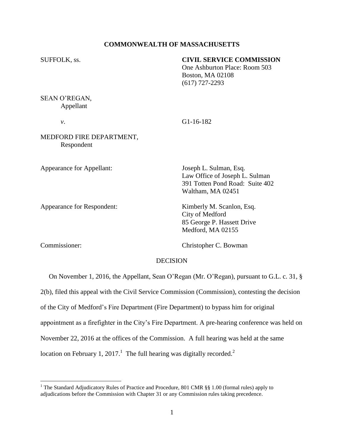## **COMMONWEALTH OF MASSACHUSETTS**

## SUFFOLK, ss. **CIVIL SERVICE COMMISSION**

One Ashburton Place: Room 503 Boston, MA 02108 (617) 727-2293

SEAN O'REGAN, Appellant

*v*. G1-16-182

# MEDFORD FIRE DEPARTMENT, Respondent

Appearance for Appellant: Joseph L. Sulman, Esq.

Appearance for Respondent: Kimberly M. Scanlon, Esq.

Law Office of Joseph L. Sulman 391 Totten Pond Road: Suite 402 Waltham, MA 02451

City of Medford 85 George P. Hassett Drive Medford, MA 02155

 $\overline{a}$ 

Commissioner: Christopher C. Bowman

## DECISION

On November 1, 2016, the Appellant, Sean O'Regan (Mr. O'Regan), pursuant to G.L. c. 31, §

2(b), filed this appeal with the Civil Service Commission (Commission), contesting the decision

of the City of Medford's Fire Department (Fire Department) to bypass him for original

appointment as a firefighter in the City's Fire Department. A pre-hearing conference was held on

November 22, 2016 at the offices of the Commission. A full hearing was held at the same

location on February 1, 2017.<sup>1</sup> The full hearing was digitally recorded.<sup>2</sup>

<sup>&</sup>lt;sup>1</sup> The Standard Adjudicatory Rules of Practice and Procedure, 801 CMR §§ 1.00 (formal rules) apply to adjudications before the Commission with Chapter 31 or any Commission rules taking precedence.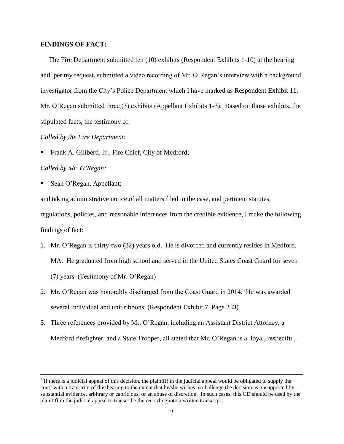## **FINDINGS OF FACT:**

The Fire Department submitted ten (10) exhibits (Respondent Exhibits 1-10) at the hearing and, per my request, submitted a video recording of Mr. O'Regan's interview with a background investigator from the City's Police Department which I have marked as Respondent Exhibit 11. Mr. O'Regan submitted three (3) exhibits (Appellant Exhibits 1-3). Based on those exhibits, the stipulated facts, the testimony of:

## *Called by the Fire Department:*

Frank A. Giliberti, Jr., Fire Chief, City of Medford;

## *Called by Mr. O'Regan:*

 $\overline{a}$ 

Sean O'Regan, Appellant;

and taking administrative notice of all matters filed in the case, and pertinent statutes,

regulations, policies, and reasonable inferences from the credible evidence, I make the following findings of fact:

- 1. Mr. O'Regan is thirty-two (32) years old. He is divorced and currently resides in Medford, MA. He graduated from high school and served in the United States Coast Guard for seven (7) years. (Testimony of Mr. O'Regan)
- 2. Mr. O'Regan was honorably discharged from the Coast Guard in 2014. He was awarded several individual and unit ribbons. (Respondent Exhibit 7, Page 233)
- 3. Three references provided by Mr. O'Regan, including an Assistant District Attorney, a Medford firefighter, and a State Trooper, all stated that Mr. O'Regan is a loyal, respectful,

 $2<sup>2</sup>$  If there is a judicial appeal of this decision, the plaintiff in the judicial appeal would be obligated to supply the court with a transcript of this hearing to the extent that he/she wishes to challenge the decision as unsupported by substantial evidence, arbitrary or capricious, or an abuse of discretion. In such cases, this CD should be used by the plaintiff in the judicial appeal to transcribe the recording into a written transcript.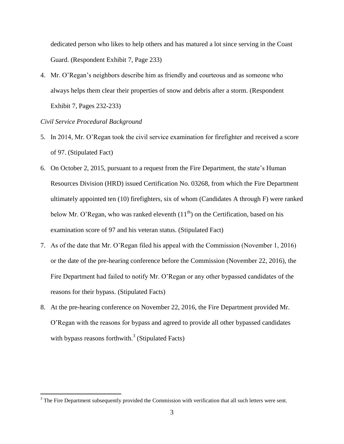dedicated person who likes to help others and has matured a lot since serving in the Coast Guard. (Respondent Exhibit 7, Page 233)

4. Mr. O'Regan's neighbors describe him as friendly and courteous and as someone who always helps them clear their properties of snow and debris after a storm. (Respondent Exhibit 7, Pages 232-233)

## *Civil Service Procedural Background*

 $\overline{a}$ 

- 5. In 2014, Mr. O'Regan took the civil service examination for firefighter and received a score of 97. (Stipulated Fact)
- 6. On October 2, 2015, pursuant to a request from the Fire Department, the state's Human Resources Division (HRD) issued Certification No. 03268, from which the Fire Department ultimately appointed ten (10) firefighters, six of whom (Candidates A through F) were ranked below Mr. O'Regan, who was ranked eleventh  $(11<sup>th</sup>)$  on the Certification, based on his examination score of 97 and his veteran status. (Stipulated Fact)
- 7. As of the date that Mr. O'Regan filed his appeal with the Commission (November 1, 2016) or the date of the pre-hearing conference before the Commission (November 22, 2016), the Fire Department had failed to notify Mr. O'Regan or any other bypassed candidates of the reasons for their bypass. (Stipulated Facts)
- 8. At the pre-hearing conference on November 22, 2016, the Fire Department provided Mr. O'Regan with the reasons for bypass and agreed to provide all other bypassed candidates with bypass reasons forthwith. $3$  (Stipulated Facts)

<sup>&</sup>lt;sup>3</sup> The Fire Department subsequently provided the Commission with verification that all such letters were sent.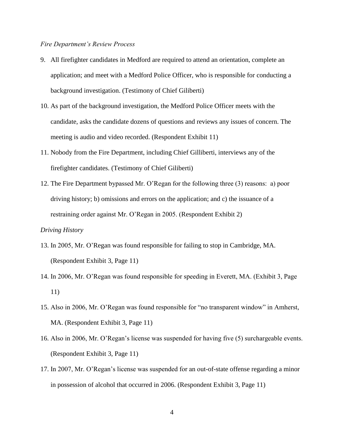## *Fire Department's Review Process*

- 9. All firefighter candidates in Medford are required to attend an orientation, complete an application; and meet with a Medford Police Officer, who is responsible for conducting a background investigation. (Testimony of Chief Giliberti)
- 10. As part of the background investigation, the Medford Police Officer meets with the candidate, asks the candidate dozens of questions and reviews any issues of concern. The meeting is audio and video recorded. (Respondent Exhibit 11)
- 11. Nobody from the Fire Department, including Chief Gilliberti, interviews any of the firefighter candidates. (Testimony of Chief Giliberti)
- 12. The Fire Department bypassed Mr. O'Regan for the following three (3) reasons: a) poor driving history; b) omissions and errors on the application; and c) the issuance of a restraining order against Mr. O'Regan in 2005. (Respondent Exhibit 2)

# *Driving History*

- 13. In 2005, Mr. O'Regan was found responsible for failing to stop in Cambridge, MA. (Respondent Exhibit 3, Page 11)
- 14. In 2006, Mr. O'Regan was found responsible for speeding in Everett, MA. (Exhibit 3, Page 11)
- 15. Also in 2006, Mr. O'Regan was found responsible for "no transparent window" in Amherst, MA. (Respondent Exhibit 3, Page 11)
- 16. Also in 2006, Mr. O'Regan's license was suspended for having five (5) surchargeable events. (Respondent Exhibit 3, Page 11)
- 17. In 2007, Mr. O'Regan's license was suspended for an out-of-state offense regarding a minor in possession of alcohol that occurred in 2006. (Respondent Exhibit 3, Page 11)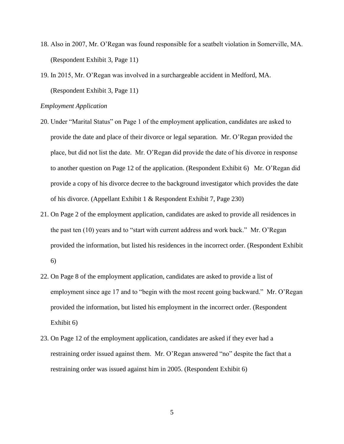- 18. Also in 2007, Mr. O'Regan was found responsible for a seatbelt violation in Somerville, MA. (Respondent Exhibit 3, Page 11)
- 19. In 2015, Mr. O'Regan was involved in a surchargeable accident in Medford, MA. (Respondent Exhibit 3, Page 11)

#### *Employment Application*

- 20. Under "Marital Status" on Page 1 of the employment application, candidates are asked to provide the date and place of their divorce or legal separation. Mr. O'Regan provided the place, but did not list the date. Mr. O'Regan did provide the date of his divorce in response to another question on Page 12 of the application. (Respondent Exhibit 6) Mr. O'Regan did provide a copy of his divorce decree to the background investigator which provides the date of his divorce. (Appellant Exhibit 1 & Respondent Exhibit 7, Page 230)
- 21. On Page 2 of the employment application, candidates are asked to provide all residences in the past ten (10) years and to "start with current address and work back." Mr. O'Regan provided the information, but listed his residences in the incorrect order. (Respondent Exhibit 6)
- 22. On Page 8 of the employment application, candidates are asked to provide a list of employment since age 17 and to "begin with the most recent going backward." Mr. O'Regan provided the information, but listed his employment in the incorrect order. (Respondent Exhibit 6)
- 23. On Page 12 of the employment application, candidates are asked if they ever had a restraining order issued against them. Mr. O'Regan answered "no" despite the fact that a restraining order was issued against him in 2005. (Respondent Exhibit 6)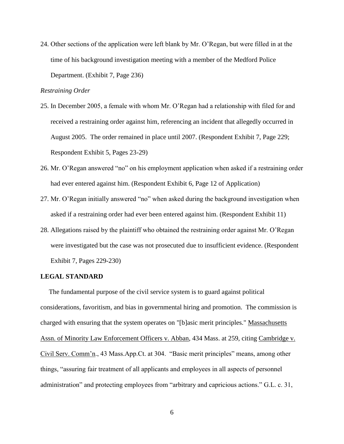24. Other sections of the application were left blank by Mr. O'Regan, but were filled in at the time of his background investigation meeting with a member of the Medford Police Department. (Exhibit 7, Page 236)

## *Restraining Order*

- 25. In December 2005, a female with whom Mr. O'Regan had a relationship with filed for and received a restraining order against him, referencing an incident that allegedly occurred in August 2005. The order remained in place until 2007. (Respondent Exhibit 7, Page 229; Respondent Exhibit 5, Pages 23-29)
- 26. Mr. O'Regan answered "no" on his employment application when asked if a restraining order had ever entered against him. (Respondent Exhibit 6, Page 12 of Application)
- 27. Mr. O'Regan initially answered "no" when asked during the background investigation when asked if a restraining order had ever been entered against him. (Respondent Exhibit 11)
- 28. Allegations raised by the plaintiff who obtained the restraining order against Mr. O'Regan were investigated but the case was not prosecuted due to insufficient evidence. (Respondent Exhibit 7, Pages 229-230)

#### **LEGAL STANDARD**

 The fundamental purpose of the civil service system is to guard against political considerations, favoritism, and bias in governmental hiring and promotion. The commission is charged with ensuring that the system operates on "[b]asic merit principles." Massachusetts Assn. of Minority Law Enforcement Officers v. Abban, 434 Mass. at 259, citing Cambridge v. Civil Serv. Comm'n., 43 Mass.App.Ct. at 304. "Basic merit principles" means, among other things, "assuring fair treatment of all applicants and employees in all aspects of personnel administration" and protecting employees from "arbitrary and capricious actions." G.L. c. 31,

6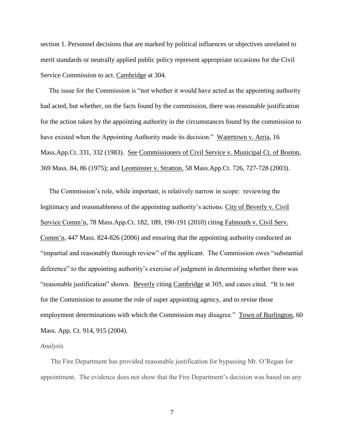section 1. Personnel decisions that are marked by political influences or objectives unrelated to merit standards or neutrally applied public policy represent appropriate occasions for the Civil Service Commission to act. Cambridge at 304.

 The issue for the Commission is "not whether it would have acted as the appointing authority had acted, but whether, on the facts found by the commission, there was reasonable justification for the action taken by the appointing authority in the circumstances found by the commission to have existed when the Appointing Authority made its decision." Watertown v. Arria, 16 Mass.App.Ct. 331, 332 (1983). See Commissioners of Civil Service v. Municipal Ct. of Boston, 369 Mass. 84, 86 (1975); and Leominster v. Stratton, 58 Mass.App.Ct. 726, 727-728 (2003).

 The Commission's role, while important, is relatively narrow in scope: reviewing the legitimacy and reasonableness of the appointing authority's actions. City of Beverly v. Civil Service Comm'n, 78 Mass.App.Ct. 182, 189, 190-191 (2010) citing Falmouth v. Civil Serv. Comm'n, 447 Mass. 824-826 (2006) and ensuring that the appointing authority conducted an "impartial and reasonably thorough review" of the applicant. The Commission owes "substantial deference" to the appointing authority's exercise of judgment in determining whether there was "reasonable justification" shown. Beverly citing Cambridge at 305, and cases cited. "It is not for the Commission to assume the role of super appointing agency, and to revise those employment determinations with which the Commission may disagree." Town of Burlington, 60 Mass. App. Ct. 914, 915 (2004).

#### *Analysis*

 The Fire Department has provided reasonable justification for bypassing Mr. O'Regan for appointment. The evidence does not show that the Fire Department's decision was based on any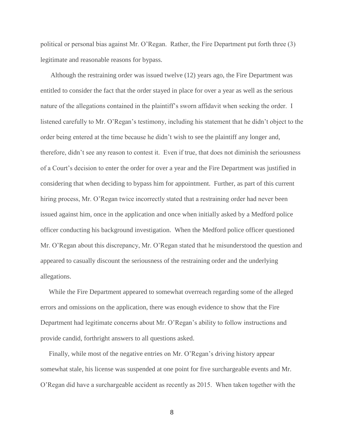political or personal bias against Mr. O'Regan. Rather, the Fire Department put forth three (3) legitimate and reasonable reasons for bypass.

 Although the restraining order was issued twelve (12) years ago, the Fire Department was entitled to consider the fact that the order stayed in place for over a year as well as the serious nature of the allegations contained in the plaintiff's sworn affidavit when seeking the order. I listened carefully to Mr. O'Regan's testimony, including his statement that he didn't object to the order being entered at the time because he didn't wish to see the plaintiff any longer and, therefore, didn't see any reason to contest it. Even if true, that does not diminish the seriousness of a Court's decision to enter the order for over a year and the Fire Department was justified in considering that when deciding to bypass him for appointment. Further, as part of this current hiring process, Mr. O'Regan twice incorrectly stated that a restraining order had never been issued against him, once in the application and once when initially asked by a Medford police officer conducting his background investigation. When the Medford police officer questioned Mr. O'Regan about this discrepancy, Mr. O'Regan stated that he misunderstood the question and appeared to casually discount the seriousness of the restraining order and the underlying allegations.

 While the Fire Department appeared to somewhat overreach regarding some of the alleged errors and omissions on the application, there was enough evidence to show that the Fire Department had legitimate concerns about Mr. O'Regan's ability to follow instructions and provide candid, forthright answers to all questions asked.

 Finally, while most of the negative entries on Mr. O'Regan's driving history appear somewhat stale, his license was suspended at one point for five surchargeable events and Mr. O'Regan did have a surchargeable accident as recently as 2015. When taken together with the

8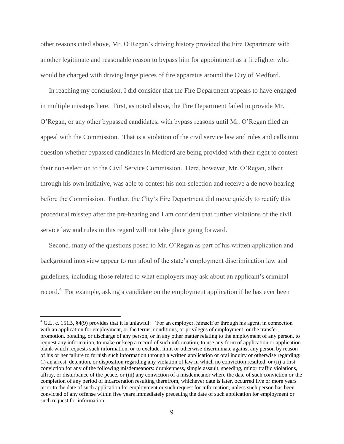other reasons cited above, Mr. O'Regan's driving history provided the Fire Department with another legitimate and reasonable reason to bypass him for appointment as a firefighter who would be charged with driving large pieces of fire apparatus around the City of Medford.

 In reaching my conclusion, I did consider that the Fire Department appears to have engaged in multiple missteps here. First, as noted above, the Fire Department failed to provide Mr. O'Regan, or any other bypassed candidates, with bypass reasons until Mr. O'Regan filed an appeal with the Commission. That is a violation of the civil service law and rules and calls into question whether bypassed candidates in Medford are being provided with their right to contest their non-selection to the Civil Service Commission. Here, however, Mr. O'Regan, albeit through his own initiative, was able to contest his non-selection and receive a de novo hearing before the Commission. Further, the City's Fire Department did move quickly to rectify this procedural misstep after the pre-hearing and I am confident that further violations of the civil service law and rules in this regard will not take place going forward.

 Second, many of the questions posed to Mr. O'Regan as part of his written application and background interview appear to run afoul of the state's employment discrimination law and guidelines, including those related to what employers may ask about an applicant's criminal record.<sup>4</sup> For example, asking a candidate on the employment application if he has <u>ever</u> been

 $\overline{a}$ 

<sup>&</sup>lt;sup>4</sup> G.L. c. 151B, §4(9) provides that it is unlawful: "For an employer, himself or through his agent, in connection with an application for employment, or the terms, conditions, or privileges of employment, or the transfer, promotion, bonding, or discharge of any person, or in any other matter relating to the employment of any person, to request any information, to make or keep a record of such information, to use any form of application or application blank which requests such information, or to exclude, limit or otherwise discriminate against any person by reason of his or her failure to furnish such information through a written application or oral inquiry or otherwise regarding: (i) an arrest, detention, or disposition regarding any violation of law in which no conviction resulted, or (ii) a first conviction for any of the following misdemeanors: drunkenness, simple assault, speeding, minor traffic violations, affray, or disturbance of the peace, or (iii) any conviction of a misdemeanor where the date of such conviction or the completion of any period of incarceration resulting therefrom, whichever date is later, occurred five or more years prior to the date of such application for employment or such request for information, unless such person has been convicted of any offense within five years immediately preceding the date of such application for employment or such request for information.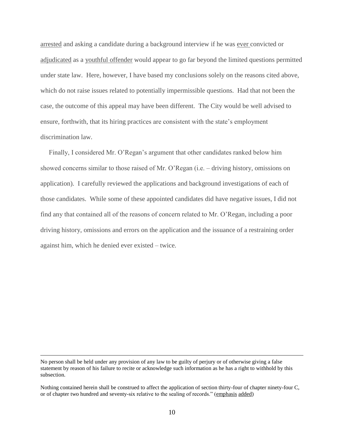arrested and asking a candidate during a background interview if he was ever convicted or adjudicated as a youthful offender would appear to go far beyond the limited questions permitted under state law. Here, however, I have based my conclusions solely on the reasons cited above, which do not raise issues related to potentially impermissible questions. Had that not been the case, the outcome of this appeal may have been different. The City would be well advised to ensure, forthwith, that its hiring practices are consistent with the state's employment discrimination law.

 Finally, I considered Mr. O'Regan's argument that other candidates ranked below him showed concerns similar to those raised of Mr. O'Regan (i.e. – driving history, omissions on application). I carefully reviewed the applications and background investigations of each of those candidates. While some of these appointed candidates did have negative issues, I did not find any that contained all of the reasons of concern related to Mr. O'Regan, including a poor driving history, omissions and errors on the application and the issuance of a restraining order against him, which he denied ever existed – twice.

 $\overline{a}$ 

No person shall be held under any provision of any law to be guilty of perjury or of otherwise giving a false statement by reason of his failure to recite or acknowledge such information as he has a right to withhold by this subsection.

Nothing contained herein shall be construed to affect the application of section thirty-four of chapter ninety-four C, or of chapter two hundred and seventy-six relative to the sealing of records." (emphasis added)